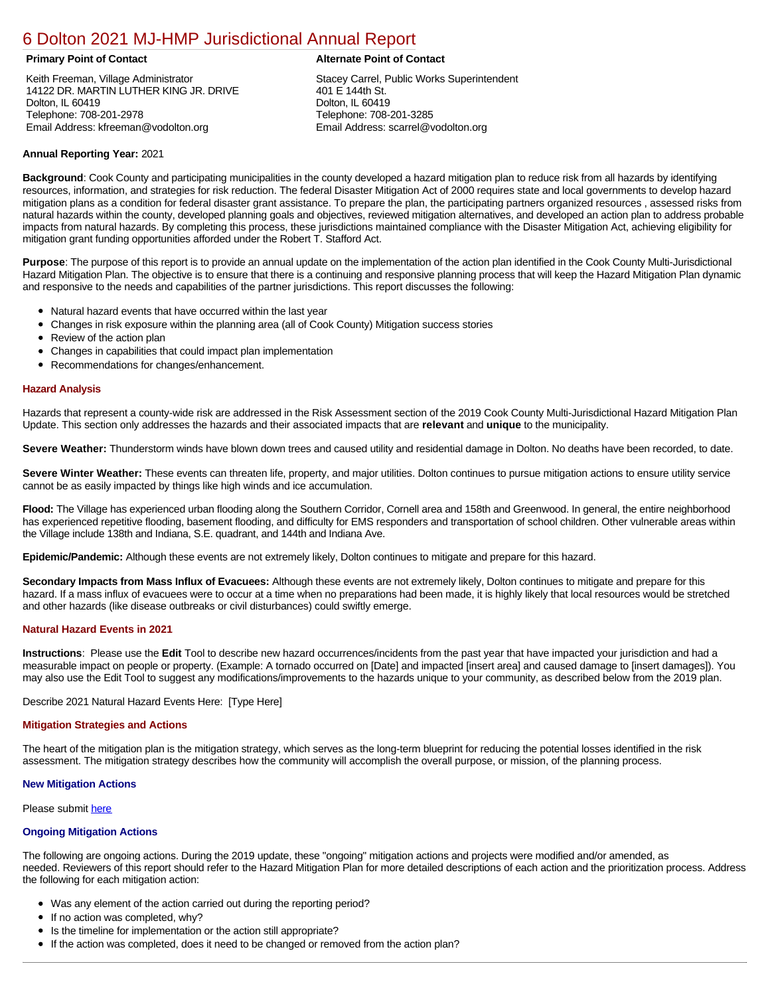# [6 Dolton 2021 MJ-HMP Jurisdictional Annual Report](https://dolton.isc-cemp.com/Cemp/Details?id=8322828)

Keith Freeman, Village Administrator 14122 DR. MARTIN LUTHER KING JR. DRIVE Dolton, IL 60419 Telephone: 708-201-2978 Email Address: kfreeman@vodolton.org

# **Primary Point of Contact Alternate Point of Contact**

Stacey Carrel, Public Works Superintendent 401 E 144th St. Dolton, IL 60419 Telephone: 708-201-3285 Email Address: scarrel@vodolton.org

# **Annual Reporting Year:** 2021

**Background**: Cook County and participating municipalities in the county developed a hazard mitigation plan to reduce risk from all hazards by identifying resources, information, and strategies for risk reduction. The federal Disaster Mitigation Act of 2000 requires state and local governments to develop hazard mitigation plans as a condition for federal disaster grant assistance. To prepare the plan, the participating partners organized resources , assessed risks from natural hazards within the county, developed planning goals and objectives, reviewed mitigation alternatives, and developed an action plan to address probable impacts from natural hazards. By completing this process, these jurisdictions maintained compliance with the Disaster Mitigation Act, achieving eligibility for mitigation grant funding opportunities afforded under the Robert T. Stafford Act.

**Purpose**: The purpose of this report is to provide an annual update on the implementation of the action plan identified in the Cook County Multi-Jurisdictional Hazard Mitigation Plan. The objective is to ensure that there is a continuing and responsive planning process that will keep the Hazard Mitigation Plan dynamic and responsive to the needs and capabilities of the partner jurisdictions. This report discusses the following:

- Natural hazard events that have occurred within the last year
- $\bullet$ Changes in risk exposure within the planning area (all of Cook County) Mitigation success stories
- Review of the action plan  $\bullet$
- $\bullet$ Changes in capabilities that could impact plan implementation
- Recommendations for changes/enhancement.  $\bullet$

### **Hazard Analysis**

Hazards that represent a county-wide risk are addressed in the Risk Assessment section of the 2019 Cook County Multi-Jurisdictional Hazard Mitigation Plan Update. This section only addresses the hazards and their associated impacts that are **relevant** and **unique** to the municipality.

**Severe Weather:** Thunderstorm winds have blown down trees and caused utility and residential damage in Dolton. No deaths have been recorded, to date.

**Severe Winter Weather:** These events can threaten life, property, and major utilities. Dolton continues to pursue mitigation actions to ensure utility service cannot be as easily impacted by things like high winds and ice accumulation.

**Flood:** The Village has experienced urban flooding along the Southern Corridor, Cornell area and 158th and Greenwood. In general, the entire neighborhood has experienced repetitive flooding, basement flooding, and difficulty for EMS responders and transportation of school children. Other vulnerable areas within the Village include 138th and Indiana, S.E. quadrant, and 144th and Indiana Ave.

**Epidemic/Pandemic:** Although these events are not extremely likely, Dolton continues to mitigate and prepare for this hazard.

**Secondary Impacts from Mass Influx of Evacuees:** Although these events are not extremely likely, Dolton continues to mitigate and prepare for this hazard. If a mass influx of evacuees were to occur at a time when no preparations had been made, it is highly likely that local resources would be stretched and other hazards (like disease outbreaks or civil disturbances) could swiftly emerge.

# **Natural Hazard Events in 2021**

**Instructions**: Please use the **Edit** Tool to describe new hazard occurrences/incidents from the past year that have impacted your jurisdiction and had a measurable impact on people or property. (Example: A tornado occurred on [Date] and impacted [insert area] and caused damage to [insert damages]). You may also use the Edit Tool to suggest any modifications/improvements to the hazards unique to your community, as described below from the 2019 plan.

Describe 2021 Natural Hazard Events Here: [Type Here]

#### **Mitigation Strategies and Actions**

The heart of the mitigation plan is the mitigation strategy, which serves as the long-term blueprint for reducing the potential losses identified in the risk assessment. The mitigation strategy describes how the community will accomplish the overall purpose, or mission, of the planning process.

# **New Mitigation Actions**

Please submit [here](https://integratedsolutions.wufoo.com/forms/mg21jvf0jn639o/)

# **Ongoing Mitigation Actions**

The following are ongoing actions. During the 2019 update, these "ongoing" mitigation actions and projects were modified and/or amended, as needed. Reviewers of this report should refer to the Hazard Mitigation Plan for more detailed descriptions of each action and the prioritization process. Address the following for each mitigation action:

- Was any element of the action carried out during the reporting period?
- If no action was completed, why?
- Is the timeline for implementation or the action still appropriate?
- If the action was completed, does it need to be changed or removed from the action plan?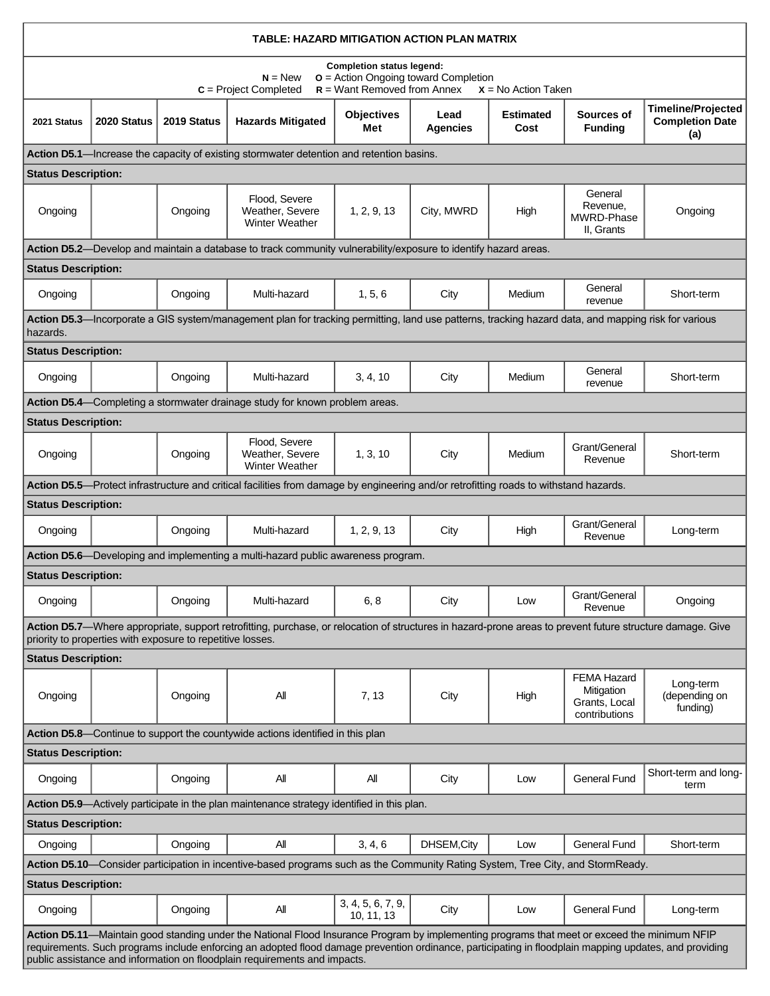| TABLE: HAZARD MITIGATION ACTION PLAN MATRIX                                                                                                                                                                                                                                                                                                                                                       |             |                                                            |                                                                                                                                                           |                          |                         |                          |                                                                    |                                                            |  |  |
|---------------------------------------------------------------------------------------------------------------------------------------------------------------------------------------------------------------------------------------------------------------------------------------------------------------------------------------------------------------------------------------------------|-------------|------------------------------------------------------------|-----------------------------------------------------------------------------------------------------------------------------------------------------------|--------------------------|-------------------------|--------------------------|--------------------------------------------------------------------|------------------------------------------------------------|--|--|
| <b>Completion status legend:</b><br><b>o</b> = Action Ongoing toward Completion<br>$N = New$<br>$R =$ Want Removed from Annex<br>$C = Project Completed$<br>$X = No$ Action Taken                                                                                                                                                                                                                 |             |                                                            |                                                                                                                                                           |                          |                         |                          |                                                                    |                                                            |  |  |
| 2021 Status                                                                                                                                                                                                                                                                                                                                                                                       | 2020 Status | 2019 Status                                                | <b>Hazards Mitigated</b>                                                                                                                                  | <b>Objectives</b><br>Met | Lead<br><b>Agencies</b> | <b>Estimated</b><br>Cost | Sources of<br><b>Funding</b>                                       | <b>Timeline/Projected</b><br><b>Completion Date</b><br>(a) |  |  |
| Action D5.1—Increase the capacity of existing stormwater detention and retention basins.                                                                                                                                                                                                                                                                                                          |             |                                                            |                                                                                                                                                           |                          |                         |                          |                                                                    |                                                            |  |  |
| <b>Status Description:</b>                                                                                                                                                                                                                                                                                                                                                                        |             |                                                            |                                                                                                                                                           |                          |                         |                          |                                                                    |                                                            |  |  |
| Ongoing                                                                                                                                                                                                                                                                                                                                                                                           |             | Ongoing                                                    | Flood, Severe<br>Weather, Severe<br><b>Winter Weather</b>                                                                                                 | 1, 2, 9, 13              | City, MWRD              | High                     | General<br>Revenue,<br>MWRD-Phase<br>II, Grants                    | Ongoing                                                    |  |  |
| Action D5.2—Develop and maintain a database to track community vulnerability/exposure to identify hazard areas.                                                                                                                                                                                                                                                                                   |             |                                                            |                                                                                                                                                           |                          |                         |                          |                                                                    |                                                            |  |  |
| <b>Status Description:</b>                                                                                                                                                                                                                                                                                                                                                                        |             |                                                            |                                                                                                                                                           |                          |                         |                          |                                                                    |                                                            |  |  |
| Ongoing                                                                                                                                                                                                                                                                                                                                                                                           |             | Ongoing                                                    | Multi-hazard                                                                                                                                              | 1, 5, 6                  | City                    | <b>Medium</b>            | General<br>revenue                                                 | Short-term                                                 |  |  |
| hazards.                                                                                                                                                                                                                                                                                                                                                                                          |             |                                                            | Action D5.3—Incorporate a GIS system/management plan for tracking permitting, land use patterns, tracking hazard data, and mapping risk for various       |                          |                         |                          |                                                                    |                                                            |  |  |
| <b>Status Description:</b>                                                                                                                                                                                                                                                                                                                                                                        |             |                                                            |                                                                                                                                                           |                          |                         |                          |                                                                    |                                                            |  |  |
| Ongoing                                                                                                                                                                                                                                                                                                                                                                                           |             | Ongoing                                                    | Multi-hazard                                                                                                                                              | 3, 4, 10                 | City                    | Medium                   | General<br>revenue                                                 | Short-term                                                 |  |  |
|                                                                                                                                                                                                                                                                                                                                                                                                   |             |                                                            | Action D5.4—Completing a stormwater drainage study for known problem areas.                                                                               |                          |                         |                          |                                                                    |                                                            |  |  |
| <b>Status Description:</b>                                                                                                                                                                                                                                                                                                                                                                        |             |                                                            |                                                                                                                                                           |                          |                         |                          |                                                                    |                                                            |  |  |
| Ongoing                                                                                                                                                                                                                                                                                                                                                                                           |             | Ongoing                                                    | Flood, Severe<br>Weather, Severe<br><b>Winter Weather</b>                                                                                                 | 1, 3, 10                 | City                    | Medium                   | Grant/General<br>Revenue                                           | Short-term                                                 |  |  |
|                                                                                                                                                                                                                                                                                                                                                                                                   |             |                                                            | Action D5.5—Protect infrastructure and critical facilities from damage by engineering and/or retrofitting roads to withstand hazards.                     |                          |                         |                          |                                                                    |                                                            |  |  |
| <b>Status Description:</b>                                                                                                                                                                                                                                                                                                                                                                        |             |                                                            |                                                                                                                                                           |                          |                         |                          |                                                                    |                                                            |  |  |
| Ongoing                                                                                                                                                                                                                                                                                                                                                                                           |             | Ongoing                                                    | Multi-hazard                                                                                                                                              | 1, 2, 9, 13              | City                    | High                     | Grant/General<br>Revenue                                           | Long-term                                                  |  |  |
|                                                                                                                                                                                                                                                                                                                                                                                                   |             |                                                            | Action D5.6—Developing and implementing a multi-hazard public awareness program.                                                                          |                          |                         |                          |                                                                    |                                                            |  |  |
| <b>Status Description:</b>                                                                                                                                                                                                                                                                                                                                                                        |             |                                                            |                                                                                                                                                           |                          |                         |                          |                                                                    |                                                            |  |  |
| Ongoing                                                                                                                                                                                                                                                                                                                                                                                           |             | Ongoing                                                    | Multi-hazard                                                                                                                                              | 6, 8                     | City                    | Low                      | Grant/General<br>Revenue                                           | Ongoing                                                    |  |  |
|                                                                                                                                                                                                                                                                                                                                                                                                   |             | priority to properties with exposure to repetitive losses. | Action D5.7—Where appropriate, support retrofitting, purchase, or relocation of structures in hazard-prone areas to prevent future structure damage. Give |                          |                         |                          |                                                                    |                                                            |  |  |
| <b>Status Description:</b>                                                                                                                                                                                                                                                                                                                                                                        |             |                                                            |                                                                                                                                                           |                          |                         |                          |                                                                    |                                                            |  |  |
| Ongoing                                                                                                                                                                                                                                                                                                                                                                                           |             | Ongoing                                                    | Αll                                                                                                                                                       | 7, 13                    | City                    | High                     | <b>FEMA Hazard</b><br>Mitigation<br>Grants, Local<br>contributions | Long-term<br>(depending on<br>funding)                     |  |  |
|                                                                                                                                                                                                                                                                                                                                                                                                   |             |                                                            | Action D5.8—Continue to support the countywide actions identified in this plan                                                                            |                          |                         |                          |                                                                    |                                                            |  |  |
| <b>Status Description:</b>                                                                                                                                                                                                                                                                                                                                                                        |             |                                                            |                                                                                                                                                           |                          |                         |                          |                                                                    |                                                            |  |  |
| Ongoing                                                                                                                                                                                                                                                                                                                                                                                           |             | Ongoing                                                    | All                                                                                                                                                       | All                      | City                    | Low                      | <b>General Fund</b>                                                | Short-term and long-<br>term                               |  |  |
|                                                                                                                                                                                                                                                                                                                                                                                                   |             |                                                            | Action D5.9-Actively participate in the plan maintenance strategy identified in this plan.                                                                |                          |                         |                          |                                                                    |                                                            |  |  |
| <b>Status Description:</b>                                                                                                                                                                                                                                                                                                                                                                        |             |                                                            |                                                                                                                                                           |                          |                         |                          |                                                                    |                                                            |  |  |
| Ongoing                                                                                                                                                                                                                                                                                                                                                                                           |             | Ongoing                                                    | All                                                                                                                                                       | 3, 4, 6                  | DHSEM, City             | Low                      | <b>General Fund</b>                                                | Short-term                                                 |  |  |
| Action D5.10—Consider participation in incentive-based programs such as the Community Rating System, Tree City, and StormReady.                                                                                                                                                                                                                                                                   |             |                                                            |                                                                                                                                                           |                          |                         |                          |                                                                    |                                                            |  |  |
| <b>Status Description:</b><br>Ongoing                                                                                                                                                                                                                                                                                                                                                             |             | Ongoing                                                    | ΑIΙ                                                                                                                                                       | 3, 4, 5, 6, 7, 9,        | City                    | Low                      | <b>General Fund</b>                                                | Long-term                                                  |  |  |
| 10, 11, 13<br>Action D5.11—Maintain good standing under the National Flood Insurance Program by implementing programs that meet or exceed the minimum NFIP<br>requirements. Such programs include enforcing an adopted flood damage prevention ordinance, participating in floodplain mapping updates, and providing<br>public assistance and information on floodplain requirements and impacts. |             |                                                            |                                                                                                                                                           |                          |                         |                          |                                                                    |                                                            |  |  |